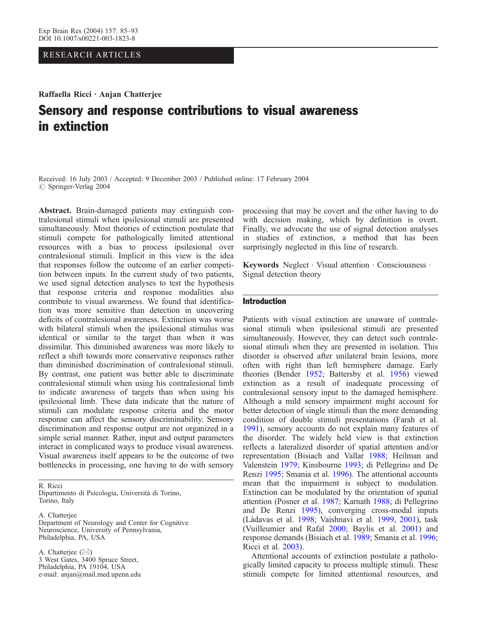RESEARCH ARTICLES

Raffaella Ricci . Anjan Chatterjee

# Sensory and response contributions to visual awareness in extinction

Received: 16 July 2003 / Accepted: 9 December 2003 / Published online: 17 February 2004 *#* Springer-Verlag 2004

Abstract. Brain-damaged patients may extinguish contralesional stimuli when ipsilesional stimuli are presented simultaneously. Most theories of extinction postulate that stimuli compete for pathologically limited attentional resources with a bias to process ipsilesional over contralesional stimuli. Implicit in this view is the idea that responses follow the outcome of an earlier competition between inputs. In the current study of two patients, we used signal detection analyses to test the hypothesis that response criteria and response modalities also contribute to visual awareness. We found that identification was more sensitive than detection in uncovering deficits of contralesional awareness. Extinction was worse with bilateral stimuli when the ipsilesional stimulus was identical or similar to the target than when it was dissimilar. This diminished awareness was more likely to reflect a shift towards more conservative responses rather than diminished discrimination of contralesional stimuli. By contrast, one patient was better able to discriminate contralesional stimuli when using his contralesional limb to indicate awareness of targets than when using his ipsilesional limb. These data indicate that the nature of stimuli can modulate response criteria and the motor response can affect the sensory discriminability. Sensory discrimination and response output are not organized in a simple serial manner. Rather, input and output parameters interact in complicated ways to produce visual awareness. Visual awareness itself appears to be the outcome of two bottlenecks in processing, one having to do with sensory

R. Ricci Dipartimento di Psicologia, Università di Torino, Torino, Italy

A. Chatterjee Department of Neurology and Center for Cognitive Neuroscience, University of Pennsylvania, Philadelphia, PA, USA

A. Chatterjee ( $\boxtimes$ ) 3 West Gates, 3400 Spruce Street, Philadelphia, PA 19104, USA e-mail: anjan@mail.med.upenn.edu processing that may be covert and the other having to do with decision making, which by definition is overt. Finally, we advocate the use of signal detection analyses in studies of extinction, a method that has been surprisingly neglected in this line of research.

Keywords Neglect · Visual attention · Consciousness · Signal detection theory

# Introduction

Patients with visual extinction are unaware of contralesional stimuli when ipsilesional stimuli are presented simultaneously. However, they can detect such contralesional stimuli when they are presented in isolation. This disorder is observed after unilateral brain lesions, more often with right than left hemisphere damage. Early theories (Bender [1952](#page-7-0); Battersby et al. [1956\)](#page-7-0) viewed extinction as a result of inadequate processing of contralesional sensory input to the damaged hemisphere. Although a mild sensory impairment might account for better detection of single stimuli than the more demanding condition of double stimuli presentations (Farah et al. [1991](#page-8-0)), sensory accounts do not explain many features of the disorder. The widely held view is that extinction reflects a lateralized disorder of spatial attention and/or representation (Bisiach and Vallar [1988](#page-8-0); Heilman and Valenstein [1979](#page-8-0); Kinsbourne [1993](#page-8-0); di Pellegrino and De Renzi [1995](#page-8-0); Smania et al. [1996\)](#page-8-0). The attentional accounts mean that the impairment is subject to modulation. Extinction can be modulated by the orientation of spatial attention (Posner et al. [1987](#page-8-0); Karnath [1988;](#page-8-0) di Pellegrino and De Renzi [1995](#page-8-0)), converging cross-modal inputs (Làdavas et al. [1998;](#page-8-0) Vaishnavi et al. [1999](#page-8-0), [2001](#page-8-0)), task (Vuilleumier and Rafal [2000;](#page-8-0) Baylis et al. [2001\)](#page-7-0) and response demands (Bisiach et al. [1989;](#page-8-0) Smania et al. [1996](#page-8-0); Ricci et al. [2003\)](#page-8-0).

Attentional accounts of extinction postulate a pathologically limited capacity to process multiple stimuli. These stimuli compete for limited attentional resources, and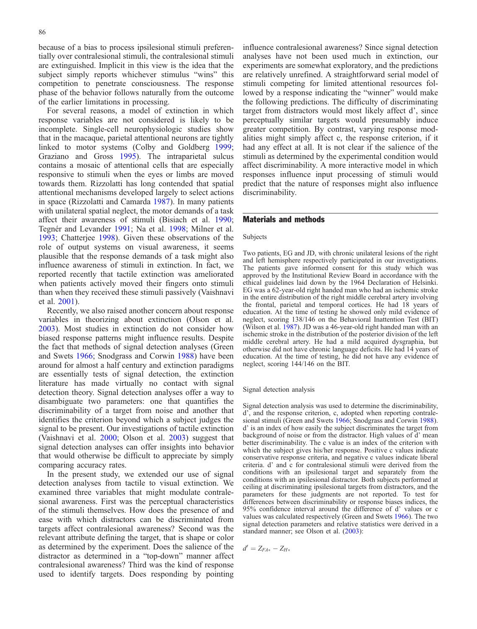because of a bias to process ipsilesional stimuli preferentially over contralesional stimuli, the contralesional stimuli are extinguished. Implicit in this view is the idea that the subject simply reports whichever stimulus "wins" this competition to penetrate consciousness. The response phase of the behavior follows naturally from the outcome of the earlier limitations in processing.

For several reasons, a model of extinction in which response variables are not considered is likely to be incomplete. Single-cell neurophysiologic studies show that in the macaque, parietal attentional neurons are tightly linked to motor systems (Colby and Goldberg [1999](#page-8-0); Graziano and Gross [1995](#page-8-0)). The intraparietal sulcus contains a mosaic of attentional cells that are especially responsive to stimuli when the eyes or limbs are moved towards them. Rizzolatti has long contended that spatial attentional mechanisms developed largely to select actions in space (Rizzolatti and Camarda [1987](#page-8-0)). In many patients with unilateral spatial neglect, the motor demands of a task affect their awareness of stimuli (Bisiach et al. [1990](#page-8-0); Tegnér and Levander [1991](#page-8-0); Na et al. [1998](#page-8-0); Milner et al. [1993](#page-8-0); Chatterjee [1998\)](#page-8-0). Given these observations of the role of output systems on visual awareness, it seems plausible that the response demands of a task might also influence awareness of stimuli in extinction. In fact, we reported recently that tactile extinction was ameliorated when patients actively moved their fingers onto stimuli than when they received these stimuli passively (Vaishnavi et al. [2001\)](#page-8-0).

Recently, we also raised another concern about response variables in theorizing about extinction (Olson et al. [2003](#page-8-0)). Most studies in extinction do not consider how biased response patterns might influence results. Despite the fact that methods of signal detection analyses (Green and Swets [1966;](#page-8-0) Snodgrass and Corwin [1988](#page-8-0)) have been around for almost a half century and extinction paradigms are essentially tests of signal detection, the extinction literature has made virtually no contact with signal detection theory. Signal detection analyses offer a way to disambiguate two parameters: one that quantifies the discriminability of a target from noise and another that identifies the criterion beyond which a subject judges the signal to be present. Our investigations of tactile extinction (Vaishnavi et al. [2000;](#page-8-0) Olson et al. [2003\)](#page-8-0) suggest that signal detection analyses can offer insights into behavior that would otherwise be difficult to appreciate by simply comparing accuracy rates.

In the present study, we extended our use of signal detection analyses from tactile to visual extinction. We examined three variables that might modulate contralesional awareness. First was the perceptual characteristics of the stimuli themselves. How does the presence of and ease with which distractors can be discriminated from targets affect contralesional awareness? Second was the relevant attribute defining the target, that is shape or color as determined by the experiment. Does the salience of the distractor as determined in a "top-down" manner affect contralesional awareness? Third was the kind of response used to identify targets. Does responding by pointing

influence contralesional awareness? Since signal detection analyses have not been used much in extinction, our experiments are somewhat exploratory, and the predictions are relatively unrefined. A straightforward serial model of stimuli competing for limited attentional resources followed by a response indicating the "winner" would make the following predictions. The difficulty of discriminating target from distractors would most likely affect d', since perceptually similar targets would presumably induce greater competition. By contrast, varying response modalities might simply affect c, the response criterion, if it had any effect at all. It is not clear if the salience of the stimuli as determined by the experimental condition would affect discriminability. A more interactive model in which responses influence input processing of stimuli would predict that the nature of responses might also influence discriminability.

#### Materials and methods

#### Subjects

Two patients, EG and JD, with chronic unilateral lesions of the right and left hemisphere respectively participated in our investigations. The patients gave informed consent for this study which was approved by the Institutional Review Board in accordance with the ethical guidelines laid down by the 1964 Declaration of Helsinki. EG was a 62-year-old right handed man who had an ischemic stroke in the entire distribution of the right middle cerebral artery involving the frontal, parietal and temporal cortices. He had 18 years of education. At the time of testing he showed only mild evidence of neglect, scoring 138/146 on the Behavioral Inattention Test (BIT) (Wilson et al. [1987](#page-8-0)). JD was a 46-year-old right handed man with an ischemic stroke in the distribution of the posterior division of the left middle cerebral artery. He had a mild acquired dysgraphia, but otherwise did not have chronic language deficits. He had 14 years of education. At the time of testing, he did not have any evidence of neglect, scoring 144/146 on the BIT.

#### Signal detection analysis

Signal detection analysis was used to determine the discriminability, d', and the response criterion, c, adopted when reporting contralesional stimuli (Green and Swets [1966;](#page-8-0) Snodgrass and Corwin [1988\)](#page-8-0). d' is an index of how easily the subject discriminates the target from background of noise or from the distractor. High values of d' mean better discriminability. The c value is an index of the criterion with which the subject gives his/her response. Positive c values indicate conservative response criteria, and negative c values indicate liberal criteria. d' and c for contralesional stimuli were derived from the conditions with an ipsilesional target and separately from the conditions with an ipsilesional distractor. Both subjects performed at ceiling at discriminating ipsilesional targets from distractors, and the parameters for these judgments are not reported. To test for differences between discriminability or response biases indices, the 95% confidence interval around the difference of d' values or c values was calculated respectively (Green and Swets [1966](#page-8-0)). The two signal detection parameters and relative statistics were derived in a standard manner; see Olson et al. ([2003\)](#page-8-0):

$$
d'=Z_{FA*}-Z_{H*}
$$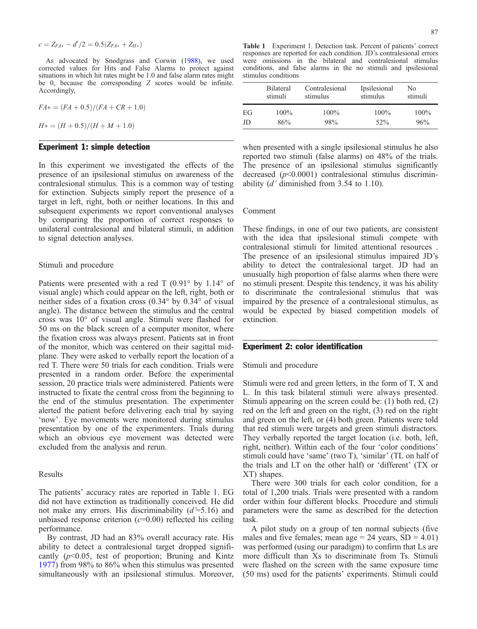$$
c = Z_{FA*} - d'/2 = 0.5(Z_{FA*} + Z_{H*})
$$

As advocated by Snodgrass and Corwin [\(1988](#page-8-0)), we used corrected values for Hits and False Alarms to protect against situations in which hit rates might be 1.0 and false alarm rates might be 0, because the corresponding Z scores would be infinite. Accordingly,

$$
FA* = (FA + 0.5)/(FA + CR + 1.0)
$$

$$
H* = (H+0.5)/(H+M+1.0)
$$

## Experiment 1: simple detection

In this experiment we investigated the effects of the presence of an ipsilesional stimulus on awareness of the contralesional stimulus. This is a common way of testing for extinction. Subjects simply report the presence of a target in left, right, both or neither locations. In this and subsequent experiments we report conventional analyses by comparing the proportion of correct responses to unilateral contralesional and bilateral stimuli, in addition to signal detection analyses.

## Stimuli and procedure

Patients were presented with a red T (0.91° by 1.14° of visual angle) which could appear on the left, right, both or neither sides of a fixation cross (0.34° by 0.34° of visual angle). The distance between the stimulus and the central cross was 10° of visual angle. Stimuli were flashed for 50 ms on the black screen of a computer monitor, where the fixation cross was always present. Patients sat in front of the monitor, which was centered on their sagittal midplane. They were asked to verbally report the location of a red T. There were 50 trials for each condition. Trials were presented in a random order. Before the experimental session, 20 practice trials were administered. Patients were instructed to fixate the central cross from the beginning to the end of the stimulus presentation. The experimenter alerted the patient before delivering each trial by saying 'now'. Eye movements were monitored during stimulus presentation by one of the experimenters. Trials during which an obvious eye movement was detected were excluded from the analysis and rerun.

# Results

The patients' accuracy rates are reported in Table 1. EG did not have extinction as traditionally conceived. He did not make any errors. His discriminability  $(d=5.16)$  and unbiased response criterion  $(c=0.00)$  reflected his ceiling performance.

By contrast, JD had an 83% overall accuracy rate. His ability to detect a contralesional target dropped significantly  $(p<0.05$ , test of proportion; Bruning and Kintz [1977](#page-8-0)) from 98% to 86% when this stimulus was presented simultaneously with an ipsilesional stimulus. Moreover,

Table 1 Experiment 1. Detection task. Percent of patients' correct responses are reported for each condition. JD's contralesional errors were omissions in the bilateral and contralesional stimulus conditions, and false alarms in the no stimuli and ipsilesional stimulus conditions

|     | <b>Bilateral</b> | Contralesional | Ipsilesional | No      |
|-----|------------------|----------------|--------------|---------|
|     | stimuli          | stimulus       | stimulus     | stimuli |
| EG  | $100\%$          | $100\%$        | $100\%$      | $100\%$ |
| JD. | 86%              | 98%            | $52\%$       | 96%     |

when presented with a single ipsilesional stimulus he also reported two stimuli (false alarms) on 48% of the trials. The presence of an ipsilesional stimulus significantly decreased  $(p<0.0001)$  contralesional stimulus discriminability (d' diminished from 3.54 to 1.10).

# Comment

These findings, in one of our two patients, are consistent with the idea that ipsilesional stimuli compete with contralesional stimuli for limited attentional resources . The presence of an ipsilesional stimulus impaired JD's ability to detect the contralesional target. JD had an unusually high proportion of false alarms when there were no stimuli present. Despite this tendency, it was his ability to discriminate the contralesional stimulus that was impaired by the presence of a contralesional stimulus, as would be expected by biased competition models of extinction.

# Experiment 2: color identification

Stimuli and procedure

Stimuli were red and green letters, in the form of T, X and L. In this task bilateral stimuli were always presented. Stimuli appearing on the screen could be: (1) both red, (2) red on the left and green on the right, (3) red on the right and green on the left, or (4) both green. Patients were told that red stimuli were targets and green stimuli distractors. They verbally reported the target location (i.e. both, left, right, neither). Within each of the four 'color conditions' stimuli could have 'same' (two T), 'similar' (TL on half of the trials and LT on the other half) or 'different' (TX or XT) shapes.

There were 300 trials for each color condition, for a total of 1,200 trials. Trials were presented with a random order within four different blocks. Procedure and stimuli parameters were the same as described for the detection task.

A pilot study on a group of ten normal subjects (five males and five females; mean age =  $24$  years,  $SD = 4.01$ ) was performed (using our paradigm) to confirm that Ls are more difficult than Xs to discriminate from Ts. Stimuli were flashed on the screen with the same exposure time (50 ms) used for the patients' experiments. Stimuli could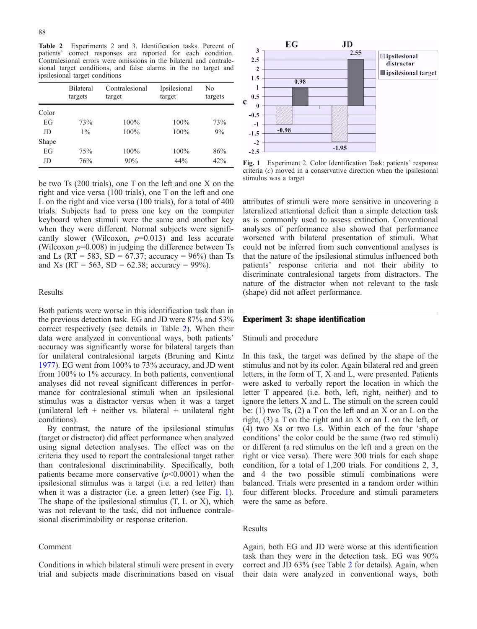Table 2 Experiments 2 and 3. Identification tasks. Percent of patients' correct responses are reported for each condition. correct responses are reported for each condition. Contralesional errors were omissions in the bilateral and contralesional target conditions, and false alarms in the no target and ipsilesional target conditions

|       | <b>Bilateral</b><br>targets | Contralesional<br>target | Ipsilesional<br>target | No<br>targets |
|-------|-----------------------------|--------------------------|------------------------|---------------|
| Color |                             |                          |                        |               |
| EG    | 73%                         | $100\%$                  | 100%                   | 73%           |
| JD    | $1\%$                       | 100%                     | 100%                   | 9%            |
| Shape |                             |                          |                        |               |
| EG    | 75%                         | 100%                     | 100%                   | 86%           |
| JD    | 76%                         | 90%                      | 44%                    | 42%           |

be two Ts (200 trials), one T on the left and one X on the right and vice versa (100 trials), one T on the left and one L on the right and vice versa (100 trials), for a total of 400 trials. Subjects had to press one key on the computer keyboard when stimuli were the same and another key when they were different. Normal subjects were significantly slower (Wilcoxon,  $p=0.013$ ) and less accurate (Wilcoxon  $p=0.008$ ) in judging the difference between Ts and Ls (RT = 583, SD = 67.37; accuracy = 96%) than Ts and Xs (RT = 563, SD = 62.38; accuracy =  $99\%$ ).

# Results

Both patients were worse in this identification task than in the previous detection task. EG and JD were 87% and 53% correct respectively (see details in Table 2). When their data were analyzed in conventional ways, both patients' accuracy was significantly worse for bilateral targets than for unilateral contralesional targets (Bruning and Kintz [1977](#page-8-0)). EG went from 100% to 73% accuracy, and JD went from 100% to 1% accuracy. In both patients, conventional analyses did not reveal significant differences in performance for contralesional stimuli when an ipsilesional stimulus was a distractor versus when it was a target (unilateral left + neither vs. bilateral + unilateral right conditions).

By contrast, the nature of the ipsilesional stimulus (target or distractor) did affect performance when analyzed using signal detection analyses. The effect was on the criteria they used to report the contralesional target rather than contralesional discriminability. Specifically, both patients became more conservative  $(p<0.0001)$  when the ipsilesional stimulus was a target (i.e. a red letter) than when it was a distractor (i.e. a green letter) (see Fig. 1). The shape of the ipsilesional stimulus (T, L or X), which was not relevant to the task, did not influence contralesional discriminability or response criterion.

## Comment

Conditions in which bilateral stimuli were present in every trial and subjects made discriminations based on visual



Fig. 1 Experiment 2. Color Identification Task: patients' response criteria (c) moved in a conservative direction when the ipsilesional stimulus was a target

attributes of stimuli were more sensitive in uncovering a lateralized attentional deficit than a simple detection task as is commonly used to assess extinction. Conventional analyses of performance also showed that performance worsened with bilateral presentation of stimuli. What could not be inferred from such conventional analyses is that the nature of the ipsilesional stimulus influenced both patients' response criteria and not their ability to discriminate contralesional targets from distractors. The nature of the distractor when not relevant to the task (shape) did not affect performance.

# Experiment 3: shape identification

## Stimuli and procedure

In this task, the target was defined by the shape of the stimulus and not by its color. Again bilateral red and green letters, in the form of T, X and L, were presented. Patients were asked to verbally report the location in which the letter T appeared (i.e. both, left, right, neither) and to ignore the letters X and L. The stimuli on the screen could be: (1) two Ts, (2) a T on the left and an X or an L on the right, (3) a T on the right and an X or an L on the left, or (4) two Xs or two Ls. Within each of the four 'shape conditions' the color could be the same (two red stimuli) or different (a red stimulus on the left and a green on the right or vice versa). There were 300 trials for each shape condition, for a total of 1,200 trials. For conditions 2, 3, and 4 the two possible stimuli combinations were balanced. Trials were presented in a random order within four different blocks. Procedure and stimuli parameters were the same as before.

## Results

Again, both EG and JD were worse at this identification task than they were in the detection task. EG was 90% correct and JD 63% (see Table 2 for details). Again, when their data were analyzed in conventional ways, both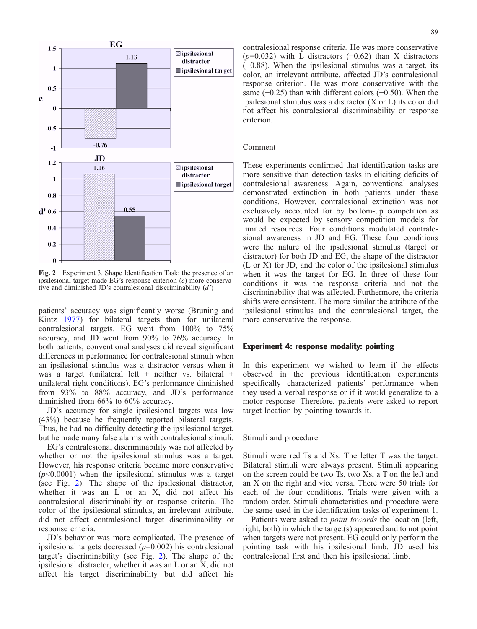

Fig. 2 Experiment 3. Shape Identification Task: the presence of an ipsilesional target made  $EG$ 's response criterion  $(c)$  more conservative and diminished JD's contralesional discriminability (d')

patients' accuracy was significantly worse (Bruning and Kintz [1977\)](#page-8-0) for bilateral targets than for unilateral contralesional targets. EG went from 100% to 75% accuracy, and JD went from 90% to 76% accuracy. In both patients, conventional analyses did reveal significant differences in performance for contralesional stimuli when an ipsilesional stimulus was a distractor versus when it was a target (unilateral left + neither vs. bilateral + unilateral right conditions). EG's performance diminished from 93% to 88% accuracy, and JD's performance diminished from 66% to 60% accuracy.

JD's accuracy for single ipsilesional targets was low (43%) because he frequently reported bilateral targets. Thus, he had no difficulty detecting the ipsilesional target, but he made many false alarms with contralesional stimuli.

EG's contralesional discriminability was not affected by whether or not the ipsilesional stimulus was a target. However, his response criteria became more conservative  $(p<0.0001)$  when the ipsilesional stimulus was a target (see Fig. 2). The shape of the ipsilesional distractor, whether it was an L or an X, did not affect his contralesional discriminability or response criteria. The color of the ipsilesional stimulus, an irrelevant attribute, did not affect contralesional target discriminability or response criteria.

JD's behavior was more complicated. The presence of ipsilesional targets decreased  $(p=0.002)$  his contralesional target's discriminability (see Fig. 2). The shape of the ipsilesional distractor, whether it was an L or an X, did not affect his target discriminability but did affect his

contralesional response criteria. He was more conservative  $(p=0.032)$  with L distractors  $(-0.62)$  than X distractors (−0.88). When the ipsilesional stimulus was a target, its color, an irrelevant attribute, affected JD's contralesional response criterion. He was more conservative with the same  $(-0.25)$  than with different colors  $(-0.50)$ . When the ipsilesional stimulus was a distractor (X or L) its color did not affect his contralesional discriminability or response criterion.

## Comment

These experiments confirmed that identification tasks are more sensitive than detection tasks in eliciting deficits of contralesional awareness. Again, conventional analyses demonstrated extinction in both patients under these conditions. However, contralesional extinction was not exclusively accounted for by bottom-up competition as would be expected by sensory competition models for limited resources. Four conditions modulated contralesional awareness in JD and EG. These four conditions were the nature of the ipsilesional stimulus (target or distractor) for both JD and EG, the shape of the distractor (L or X) for JD, and the color of the ipsilesional stimulus when it was the target for EG. In three of these four conditions it was the response criteria and not the discriminability that was affected. Furthermore, the criteria shifts were consistent. The more similar the attribute of the ipsilesional stimulus and the contralesional target, the more conservative the response.

# Experiment 4: response modality: pointing

In this experiment we wished to learn if the effects observed in the previous identification experiments specifically characterized patients' performance when they used a verbal response or if it would generalize to a motor response. Therefore, patients were asked to report target location by pointing towards it.

#### Stimuli and procedure

Stimuli were red Ts and Xs. The letter T was the target. Bilateral stimuli were always present. Stimuli appearing on the screen could be two Ts, two Xs, a T on the left and an X on the right and vice versa. There were 50 trials for each of the four conditions. Trials were given with a random order. Stimuli characteristics and procedure were the same used in the identification tasks of experiment 1.

Patients were asked to *point towards* the location (left, right, both) in which the target(s) appeared and to not point when targets were not present. EG could only perform the pointing task with his ipsilesional limb. JD used his contralesional first and then his ipsilesional limb.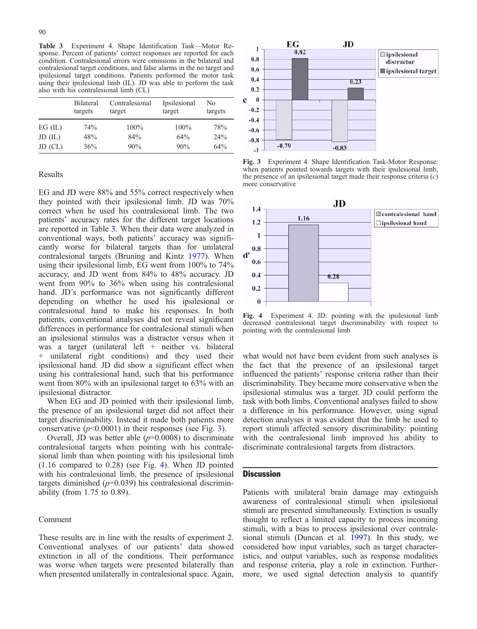Table 3 Experiment 4. Shape Identification Task—Motor Response. Percent of patients' correct responses are reported for each condition. Contralesional errors were omissions in the bilateral and contralesional target conditions, and false alarms in the no target and ipsilesional target conditions. Patients performed the motor task using their ipsilesional limb (IL). JD was able to perform the task also with his contralesional limb (CL)

|           | <b>Bilateral</b><br>targets | Contralesional<br>target | Ipsilesional<br>target | No<br>targets |
|-----------|-----------------------------|--------------------------|------------------------|---------------|
| $EG$ (IL) | 74%                         | $100\%$                  | $100\%$                | 78%           |
| $JD$ (IL) | 48%                         | 84%                      | 64%                    | 24%           |
| JD (CL)   | 36%                         | 90%                      | 90%                    | 64%           |

# Results

EG and JD were 88% and 55% correct respectively when they pointed with their ipsilesional limb. JD was 70% correct when he used his contralesional limb. The two patients' accuracy rates for the different target locations are reported in Table 3. When their data were analyzed in conventional ways, both patients' accuracy was significantly worse for bilateral targets than for unilateral contralesional targets (Bruning and Kintz [1977\)](#page-8-0). When using their ipsilesional limb, EG went from 100% to 74% accuracy, and JD went from 84% to 48% accuracy. JD went from 90% to 36% when using his contralesional hand. JD's performance was not significantly different depending on whether he used his ipsilesional or contralesional hand to make his responses. In both patients, conventional analyses did not reveal significant differences in performance for contralesional stimuli when an ipsilesional stimulus was a distractor versus when it was a target (unilateral left + neither vs. bilateral + unilateral right conditions) and they used their ipsilesional hand. JD did show a significant effect when using his contralesional hand, such that his performance went from 80% with an ipsilesional target to 63% with an ipsilesional distractor.

When EG and JD pointed with their ipsilesional limb, the presence of an ipsilesional target did not affect their target discriminability. Instead it made both patients more conservative  $(p<0.0001)$  in their responses (see Fig. 3).

Overall, JD was better able  $(p=0.0008)$  to discriminate contralesional targets when pointing with his contralesional limb than when pointing with his ipsilesional limb (1.16 compared to 0.28) (see Fig. 4). When JD pointed with his contralesional limb, the presence of ipsilesional targets diminished  $(p=0.039)$  his contralesional discriminability (from 1.75 to 0.89).

#### Comment

These results are in line with the results of experiment 2. Conventional analyses of our patients' data showed extinction in all of the conditions. Their performance was worse when targets were presented bilaterally than when presented unilaterally in contralesional space. Again,



Fig. 3 Experiment 4. Shape Identification Task-Motor Response: when patients pointed towards targets with their ipsilesional limb, the presence of an ipsilesional target made their response criteria  $(c)$ more conservative



Fig. 4 Experiment 4. JD: pointing with the ipsilesional limb decreased contralesional target discriminability with respect to pointing with the contralesional limb

what would not have been evident from such analyses is the fact that the presence of an ipsilesional target influenced the patients' response criteria rather than their discriminability. They became more conservative when the ipsilesional stimulus was a target. JD could perform the task with both limbs. Conventional analyses failed to show a difference in his performance. However, using signal detection analyses it was evident that the limb he used to report stimuli affected sensory discriminability: pointing with the contralesional limb improved his ability to discriminate contralesional targets from distractors.

# **Discussion**

Patients with unilateral brain damage may extinguish awareness of contralesional stimuli when ipsilesional stimuli are presented simultaneously. Extinction is usually thought to reflect a limited capacity to process incoming stimuli, with a bias to process ipsilesional over contralesional stimuli (Duncan et al. [1997\)](#page-8-0). In this study, we considered how input variables, such as target characteristics, and output variables, such as response modalities and response criteria, play a role in extinction. Furthermore, we used signal detection analysis to quantify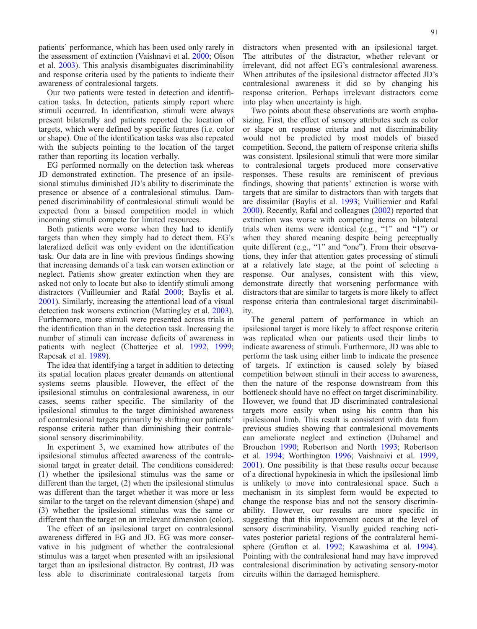patients' performance, which has been used only rarely in the assessment of extinction (Vaishnavi et al. [2000](#page-8-0); Olson et al. [2003](#page-8-0)). This analysis disambiguates discriminability and response criteria used by the patients to indicate their awareness of contralesional targets.

Our two patients were tested in detection and identification tasks. In detection, patients simply report where stimuli occurred. In identification, stimuli were always present bilaterally and patients reported the location of targets, which were defined by specific features (i.e. color or shape). One of the identification tasks was also repeated with the subjects pointing to the location of the target rather than reporting its location verbally.

EG performed normally on the detection task whereas JD demonstrated extinction. The presence of an ipsilesional stimulus diminished JD's ability to discriminate the presence or absence of a contralesional stimulus. Dampened discriminability of contralesional stimuli would be expected from a biased competition model in which incoming stimuli compete for limited resources.

Both patients were worse when they had to identify targets than when they simply had to detect them. EG's lateralized deficit was only evident on the identification task. Our data are in line with previous findings showing that increasing demands of a task can worsen extinction or neglect. Patients show greater extinction when they are asked not only to locate but also to identify stimuli among distractors (Vuilleumier and Rafal [2000;](#page-8-0) Baylis et al. [2001](#page-7-0)). Similarly, increasing the attentional load of a visual detection task worsens extinction (Mattingley et al. [2003\)](#page-8-0). Furthermore, more stimuli were presented across trials in the identification than in the detection task. Increasing the number of stimuli can increase deficits of awareness in patients with neglect (Chatterjee et al. [1992](#page-8-0), [1999](#page-8-0); Rapcsak et al. [1989](#page-8-0)).

The idea that identifying a target in addition to detecting its spatial location places greater demands on attentional systems seems plausible. However, the effect of the ipsilesional stimulus on contralesional awareness, in our cases, seems rather specific. The similarity of the ipsilesional stimulus to the target diminished awareness of contralesional targets primarily by shifting our patients' response criteria rather than diminishing their contralesional sensory discriminability.

In experiment 3, we examined how attributes of the ipsilesional stimulus affected awareness of the contralesional target in greater detail. The conditions considered: (1) whether the ipsilesional stimulus was the same or different than the target, (2) when the ipsilesional stimulus was different than the target whether it was more or less similar to the target on the relevant dimension (shape) and (3) whether the ipsilesional stimulus was the same or different than the target on an irrelevant dimension (color).

The effect of an ipsilesional target on contralesional awareness differed in EG and JD. EG was more conservative in his judgment of whether the contralesional stimulus was a target when presented with an ipsilesional target than an ipsilesional distractor. By contrast, JD was less able to discriminate contralesional targets from

distractors when presented with an ipsilesional target. The attributes of the distractor, whether relevant or irrelevant, did not affect EG's contralesional awareness. When attributes of the ipsilesional distractor affected JD's contralesional awareness it did so by changing his response criterion. Perhaps irrelevant distractors come into play when uncertainty is high.

Two points about these observations are worth emphasizing. First, the effect of sensory attributes such as color or shape on response criteria and not discriminability would not be predicted by most models of biased competition. Second, the pattern of response criteria shifts was consistent. Ipsilesional stimuli that were more similar to contralesional targets produced more conservative responses. These results are reminiscent of previous findings, showing that patients' extinction is worse with targets that are similar to distractors than with targets that are dissimilar (Baylis et al. [1993;](#page-7-0) Vuilliemier and Rafal [2000](#page-8-0)). Recently, Rafal and colleagues [\(2002](#page-8-0)) reported that extinction was worse with competing items on bilateral trials when items were identical (e.g., "1" and "1") or when they shared meaning despite being perceptually quite different (e.g., "1" and "one"). From their observations, they infer that attention gates processing of stimuli at a relatively late stage, at the point of selecting a response. Our analyses, consistent with this view, demonstrate directly that worsening performance with distractors that are similar to targets is more likely to affect response criteria than contralesional target discriminability.

The general pattern of performance in which an ipsilesional target is more likely to affect response criteria was replicated when our patients used their limbs to indicate awareness of stimuli. Furthermore, JD was able to perform the task using either limb to indicate the presence of targets. If extinction is caused solely by biased competition between stimuli in their access to awareness, then the nature of the response downstream from this bottleneck should have no effect on target discriminability. However, we found that JD discriminated contralesional targets more easily when using his contra than his ipsilesional limb. This result is consistent with data from previous studies showing that contralesional movements can ameliorate neglect and extinction (Duhamel and Brouchon [1990](#page-8-0); Robertson and North [1993](#page-8-0); Robertson et al. [1994](#page-8-0); Worthington [1996;](#page-8-0) Vaishnaivi et al. [1999](#page-8-0), [2001](#page-8-0)). One possibility is that these results occur because of a directional hypokinesia in which the ipsilesional limb is unlikely to move into contralesional space. Such a mechanism in its simplest form would be expected to change the response bias and not the sensory discriminability. However, our results are more specific in suggesting that this improvement occurs at the level of sensory discriminability. Visually guided reaching activates posterior parietal regions of the contralateral hemisphere (Grafton et al. [1992;](#page-8-0) Kawashima et al. [1994](#page-8-0)). Pointing with the contralesional hand may have improved contralesional discrimination by activating sensory-motor circuits within the damaged hemisphere.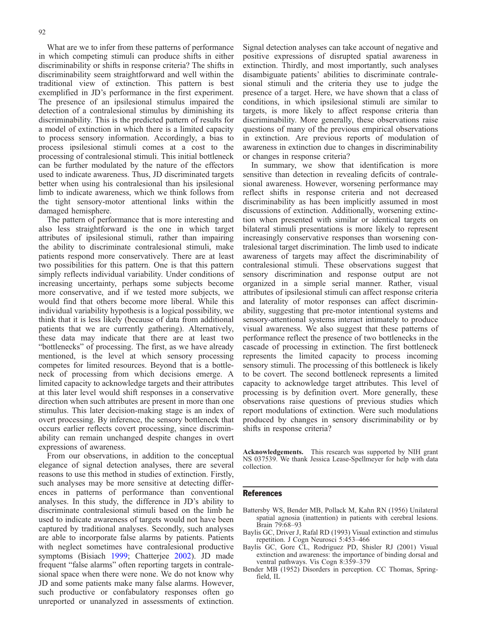<span id="page-7-0"></span>What are we to infer from these patterns of performance in which competing stimuli can produce shifts in either discriminability or shifts in response criteria? The shifts in discriminability seem straightforward and well within the traditional view of extinction. This pattern is best exemplified in JD's performance in the first experiment. The presence of an ipsilesional stimulus impaired the detection of a contralesional stimulus by diminishing its discriminability. This is the predicted pattern of results for a model of extinction in which there is a limited capacity to process sensory information. Accordingly, a bias to process ipsilesional stimuli comes at a cost to the processing of contralesional stimuli. This initial bottleneck can be further modulated by the nature of the effectors used to indicate awareness. Thus, JD discriminated targets better when using his contralesional than his ipsilesional limb to indicate awareness, which we think follows from the tight sensory-motor attentional links within the damaged hemisphere.

The pattern of performance that is more interesting and also less straightforward is the one in which target attributes of ipsilesional stimuli, rather than impairing the ability to discriminate contralesional stimuli, make patients respond more conservatively. There are at least two possibilities for this pattern. One is that this pattern simply reflects individual variability. Under conditions of increasing uncertainty, perhaps some subjects become more conservative, and if we tested more subjects, we would find that others become more liberal. While this individual variability hypothesis is a logical possibility, we think that it is less likely (because of data from additional patients that we are currently gathering). Alternatively, these data may indicate that there are at least two "bottlenecks" of processing. The first, as we have already mentioned, is the level at which sensory processing competes for limited resources. Beyond that is a bottleneck of processing from which decisions emerge. A limited capacity to acknowledge targets and their attributes at this later level would shift responses in a conservative direction when such attributes are present in more than one stimulus. This later decision-making stage is an index of overt processing. By inference, the sensory bottleneck that occurs earlier reflects covert processing, since discriminability can remain unchanged despite changes in overt expressions of awareness.

From our observations, in addition to the conceptual elegance of signal detection analyses, there are several reasons to use this method in studies of extinction. Firstly, such analyses may be more sensitive at detecting differences in patterns of performance than conventional analyses. In this study, the difference in JD's ability to discriminate contralesional stimuli based on the limb he used to indicate awareness of targets would not have been captured by traditional analyses. Secondly, such analyses are able to incorporate false alarms by patients. Patients with neglect sometimes have contralesional productive symptoms (Bisiach [1999](#page-8-0); Chatterjee [2002\)](#page-8-0). JD made frequent "false alarms" often reporting targets in contralesional space when there were none. We do not know why JD and some patients make many false alarms. However, such productive or confabulatory responses often go unreported or unanalyzed in assessments of extinction.

Signal detection analyses can take account of negative and positive expressions of disrupted spatial awareness in extinction. Thirdly, and most importantly, such analyses disambiguate patients' abilities to discriminate contralesional stimuli and the criteria they use to judge the presence of a target. Here, we have shown that a class of conditions, in which ipsilesional stimuli are similar to targets, is more likely to affect response criteria than discriminability. More generally, these observations raise questions of many of the previous empirical observations in extinction. Are previous reports of modulation of awareness in extinction due to changes in discriminability or changes in response criteria?

In summary, we show that identification is more sensitive than detection in revealing deficits of contralesional awareness. However, worsening performance may reflect shifts in response criteria and not decreased discriminability as has been implicitly assumed in most discussions of extinction. Additionally, worsening extinction when presented with similar or identical targets on bilateral stimuli presentations is more likely to represent increasingly conservative responses than worsening contralesional target discrimination. The limb used to indicate awareness of targets may affect the discriminability of contralesional stimuli. These observations suggest that sensory discrimination and response output are not organized in a simple serial manner. Rather, visual attributes of ipsilesional stimuli can affect response criteria and laterality of motor responses can affect discriminability, suggesting that pre-motor intentional systems and sensory-attentional systems interact intimately to produce visual awareness. We also suggest that these patterns of performance reflect the presence of two bottlenecks in the cascade of processing in extinction. The first bottleneck represents the limited capacity to process incoming sensory stimuli. The processing of this bottleneck is likely to be covert. The second bottleneck represents a limited capacity to acknowledge target attributes. This level of processing is by definition overt. More generally, these observations raise questions of previous studies which report modulations of extinction. Were such modulations produced by changes in sensory discriminability or by shifts in response criteria?

Acknowledgements. This research was supported by NIH grant NS 037539. We thank Jessica Lease-Spellmeyer for help with data collection.

#### References

- Battersby WS, Bender MB, Pollack M, Kahn RN (1956) Unilateral spatial agnosia (inattention) in patients with cerebral lesions. Brain 79:68–93
- Baylis GC, Driver J, Rafal RD (1993) Visual extinction and stimulus repetition. J Cogn Neurosci 5:453–466
- Baylis GC, Gore CL, Rodriguez PD, Shisler RJ (2001) Visual extinction and awareness: the importance of binding dorsal and ventral pathways. Vis Cogn 8:359–379
- Bender MB (1952) Disorders in perception. CC Thomas, Springfield, IL